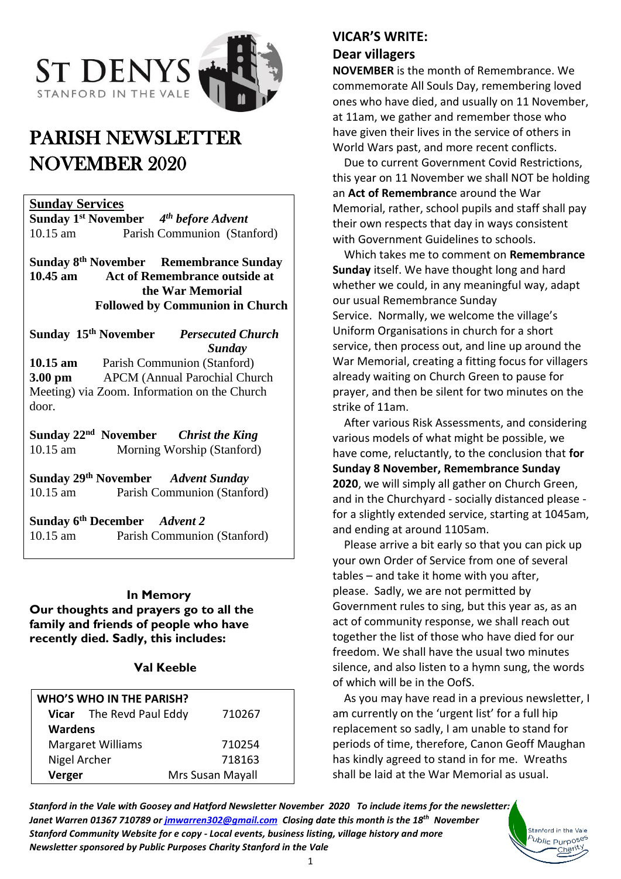

# PARISH NEWSLETTER NOVEMBER 2020

#### **Sunday Services**

**Sunday 1 st November** *4 th before Advent* 10.15 am Parish Communion (Stanford)

**Sunday 8 Remembrance Sunday 10.45 am Act of Remembrance outside at the War Memorial Followed by Communion in Church**

Sunday 15<sup>th</sup> November *Persecuted Church Sunday*  **10.15 am** Parish Communion (Stanford) **3.00 pm** APCM (Annual Parochial Church Meeting) via Zoom. Information on the Church door.

**Sunday 22 nd November** *Christ the King* 10.15 am Morning Worship (Stanford)

**Sunday 29th November** *Advent Sunday* 10.15 am Parish Communion (Stanford)

**Sunday 6th December** *Advent 2* 10.15 am Parish Communion (Stanford)

#### **In Memory**

**Our thoughts and prayers go to all the family and friends of people who have recently died. Sadly, this includes:**

#### **Val Keeble**

| <b>WHO'S WHO IN THE PARISH?</b> |                          |                  |
|---------------------------------|--------------------------|------------------|
|                                 | Vicar The Revd Paul Eddy | 710267           |
| <b>Wardens</b>                  |                          |                  |
| <b>Margaret Williams</b>        |                          | 710254           |
| Nigel Archer                    |                          | 718163           |
| Verger                          |                          | Mrs Susan Mayall |

### **VICAR'S WRITE:**

#### **Dear villagers**

**NOVEMBER** is the month of Remembrance. We commemorate All Souls Day, remembering loved ones who have died, and usually on 11 November, at 11am, we gather and remember those who have given their lives in the service of others in World Wars past, and more recent conflicts.

 Due to current Government Covid Restrictions, this year on 11 November we shall NOT be holding an **Act of Remembranc**e around the War Memorial, rather, school pupils and staff shall pay their own respects that day in ways consistent with Government Guidelines to schools.

 Which takes me to comment on **Remembrance Sunday** itself. We have thought long and hard whether we could, in any meaningful way, adapt our usual Remembrance Sunday Service. Normally, we welcome the village's Uniform Organisations in church for a short service, then process out, and line up around the War Memorial, creating a fitting focus for villagers already waiting on Church Green to pause for prayer, and then be silent for two minutes on the strike of 11am.

 After various Risk Assessments, and considering various models of what might be possible, we have come, reluctantly, to the conclusion that **for Sunday 8 November, Remembrance Sunday 2020**, we will simply all gather on Church Green, and in the Churchyard - socially distanced please for a slightly extended service, starting at 1045am, and ending at around 1105am.

 Please arrive a bit early so that you can pick up your own Order of Service from one of several tables – and take it home with you after, please. Sadly, we are not permitted by Government rules to sing, but this year as, as an act of community response, we shall reach out together the list of those who have died for our freedom. We shall have the usual two minutes silence, and also listen to a hymn sung, the words of which will be in the OofS.

 As you may have read in a previous newsletter, I am currently on the 'urgent list' for a full hip replacement so sadly, I am unable to stand for periods of time, therefore, Canon Geoff Maughan has kindly agreed to stand in for me. Wreaths shall be laid at the War Memorial as usual.

> Stanford in the Vale <sup>5</sup>ublic Purpo<sup>ses</sup> Charity

*Stanford in the Vale with Goosey and Hatford Newsletter November 2020 To include items for the newsletter: Janet Warren 01367 710789 or [jmwarren302@gmail.com](mailto:jmwarren302@gmail.com) Closing date this month is the 18th November Stanford Community Website for e copy - Local events, business listing, village history and more Newsletter sponsored by Public Purposes Charity Stanford in the Vale*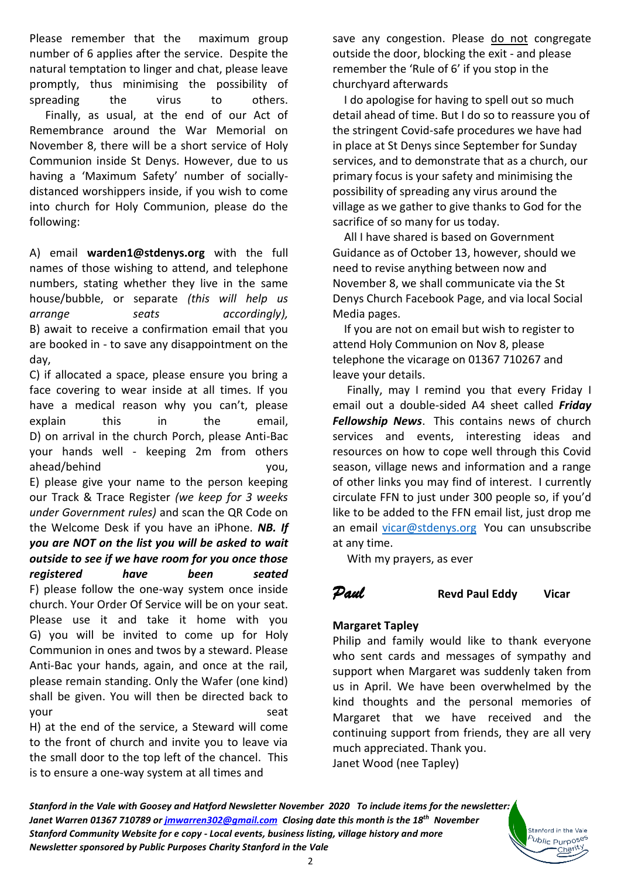Please remember that the maximum group number of 6 applies after the service. Despite the natural temptation to linger and chat, please leave promptly, thus minimising the possibility of spreading the virus to others. Finally, as usual, at the end of our Act of Remembrance around the War Memorial on November 8, there will be a short service of Holy Communion inside St Denys. However, due to us having a 'Maximum Safety' number of sociallydistanced worshippers inside, if you wish to come into church for Holy Communion, please do the following:

A) email **[warden1@stdenys.org](mailto:warden1@stdenys.org)** with the full names of those wishing to attend, and telephone numbers, stating whether they live in the same house/bubble, or separate *(this will help us arrange seats accordingly),* B) await to receive a confirmation email that you are booked in - to save any disappointment on the day,

C) if allocated a space, please ensure you bring a face covering to wear inside at all times. If you have a medical reason why you can't, please explain this in the email, D) on arrival in the church Porch, please Anti-Bac your hands well - keeping 2m from others ahead/behind you, E) please give your name to the person keeping our Track & Trace Register *(we keep for 3 weeks under Government rules)* and scan the QR Code on the Welcome Desk if you have an iPhone. *NB. If you are NOT on the list you will be asked to wait outside to see if we have room for you once those registered have been seated* F) please follow the one-way system once inside church. Your Order Of Service will be on your seat. Please use it and take it home with you G) you will be invited to come up for Holy Communion in ones and twos by a steward. Please Anti-Bac your hands, again, and once at the rail, please remain standing. Only the Wafer (one kind) shall be given. You will then be directed back to your seat and seat seat

H) at the end of the service, a Steward will come to the front of church and invite you to leave via the small door to the top left of the chancel. This is to ensure a one-way system at all times and

save any congestion. Please do not congregate outside the door, blocking the exit - and please remember the 'Rule of 6' if you stop in the churchyard afterwards

 I do apologise for having to spell out so much detail ahead of time. But I do so to reassure you of the stringent Covid-safe procedures we have had in place at St Denys since September for Sunday services, and to demonstrate that as a church, our primary focus is your safety and minimising the possibility of spreading any virus around the village as we gather to give thanks to God for the sacrifice of so many for us today.

 All I have shared is based on Government Guidance as of October 13, however, should we need to revise anything between now and November 8, we shall communicate via the St Denys Church Facebook Page, and via local Social Media pages.

 If you are not on email but wish to register to attend Holy Communion on Nov 8, please telephone the vicarage on 01367 710267 and leave your details.

 Finally, may I remind you that every Friday I email out a double-sided A4 sheet called *Friday Fellowship News*. This contains news of church services and events, interesting ideas and resources on how to cope well through this Covid season, village news and information and a range of other links you may find of interest. I currently circulate FFN to just under 300 people so, if you'd like to be added to the FFN email list, just drop me an email [vicar@stdenys.org](mailto:vicar@stdenys.org) You can unsubscribe at any time.

With my prayers, as ever

*Paul* **Revd Paul Eddy****Vicar**

Stanford in the Vale b<sub>ublic</sub> p<sub>urposes</sub> Charity

# **Margaret Tapley**

Philip and family would like to thank everyone who sent cards and messages of sympathy and support when Margaret was suddenly taken from us in April. We have been overwhelmed by the kind thoughts and the personal memories of Margaret that we have received and the continuing support from friends, they are all very much appreciated. Thank you. Janet Wood (nee Tapley)

*Stanford in the Vale with Goosey and Hatford Newsletter November 2020 To include items for the newsletter: Janet Warren 01367 710789 or [jmwarren302@gmail.com](mailto:jmwarren302@gmail.com) Closing date this month is the 18th November Stanford Community Website for e copy - Local events, business listing, village history and more Newsletter sponsored by Public Purposes Charity Stanford in the Vale*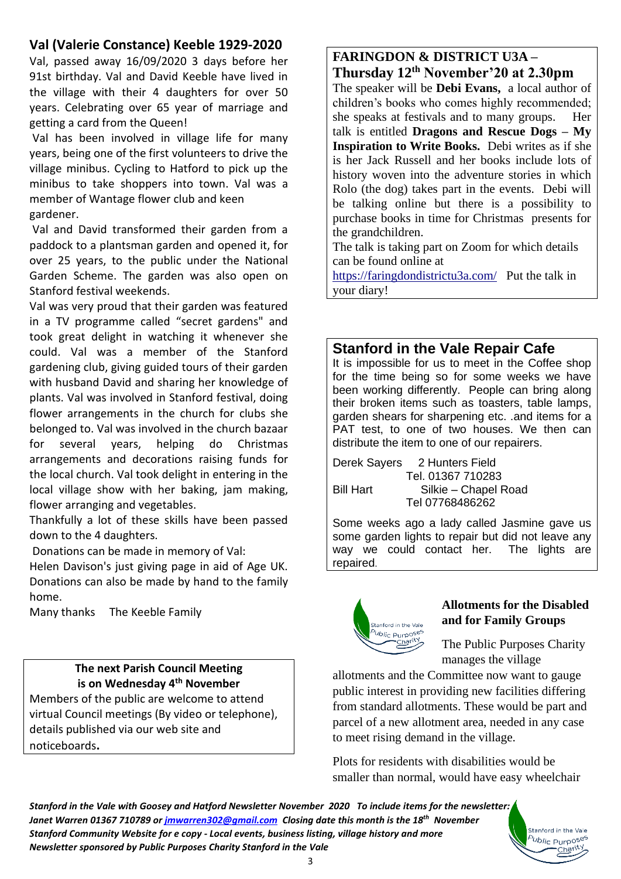# **Val (Valerie Constance) Keeble 1929-2020**

Val, passed away 16/09/2020 3 days before her 91st birthday. Val and David Keeble have lived in the village with their 4 daughters for over 50 years. Celebrating over 65 year of marriage and getting a card from the Queen!

Val has been involved in village life for many years, being one of the first volunteers to drive the village minibus. Cycling to Hatford to pick up the minibus to take shoppers into town. Val was a member of Wantage flower club and keen gardener.

Val and David transformed their garden from a paddock to a plantsman garden and opened it, for over 25 years, to the public under the National Garden Scheme. The garden was also open on Stanford festival weekends.

Val was very proud that their garden was featured in a TV programme called "secret gardens" and took great delight in watching it whenever she could. Val was a member of the Stanford gardening club, giving guided tours of their garden with husband David and sharing her knowledge of plants. Val was involved in Stanford festival, doing flower arrangements in the church for clubs she belonged to. Val was involved in the church bazaar for several years, helping do Christmas arrangements and decorations raising funds for the local church. Val took delight in entering in the local village show with her baking, jam making, flower arranging and vegetables.

Thankfully a lot of these skills have been passed down to the 4 daughters.

Donations can be made in memory of Val:

Helen Davison's just giving page in aid of Age UK. Donations can also be made by hand to the family home.

Many thanks The Keeble Family

### **The next Parish Council Meeting is on Wednesday 4 th November**

Members of the public are welcome to attend virtual Council meetings (By video or telephone), details published via our web site and noticeboards**.**

# **FARINGDON & DISTRICT U3A – Thursday 12th November'20 at 2.30pm**

The speaker will be **Debi Evans,** a local author of children's books who comes highly recommended; she speaks at festivals and to many groups. Her talk is entitled **Dragons and Rescue Dogs – My Inspiration to Write Books.** Debi writes as if she is her Jack Russell and her books include lots of history woven into the adventure stories in which Rolo (the dog) takes part in the events. Debi will be talking online but there is a possibility to purchase books in time for Christmas presents for the grandchildren.

The talk is taking part on Zoom for which details can be found online at

<https://faringdondistrictu3a.com/>Put the talk in your diary!

# **Stanford in the Vale Repair Cafe**

It is impossible for us to meet in the Coffee shop for the time being so for some weeks we have been working differently. People can bring along their broken items such as toasters, table lamps, garden shears for sharpening etc. .and items for a PAT test, to one of two houses. We then can distribute the item to one of our repairers.

Derek Sayers 2 Hunters Field Tel. 01367 710283 Bill Hart Silkie – Chapel Road Tel 07768486262

Some weeks ago a lady called Jasmine gave us some garden lights to repair but did not leave any way we could contact her. The lights are repaired.



#### **Allotments for the Disabled and for Family Groups**

The Public Purposes Charity manages the village

allotments and the Committee now want to gauge public interest in providing new facilities differing from standard allotments. These would be part and parcel of a new allotment area, needed in any case to meet rising demand in the village.

Plots for residents with disabilities would be smaller than normal, would have easy wheelchair

*Stanford in the Vale with Goosey and Hatford Newsletter November 2020 To include items for the newsletter: Janet Warren 01367 710789 or [jmwarren302@gmail.com](mailto:jmwarren302@gmail.com) Closing date this month is the 18th November* Stanford in the Vale *Stanford Community Website for e copy - Local events, business listing, village history and more* <sup>b</sup>ublic Purpo<sup>ses</sup> *Newsletter sponsored by Public Purposes Charity Stanford in the Vale* Charity